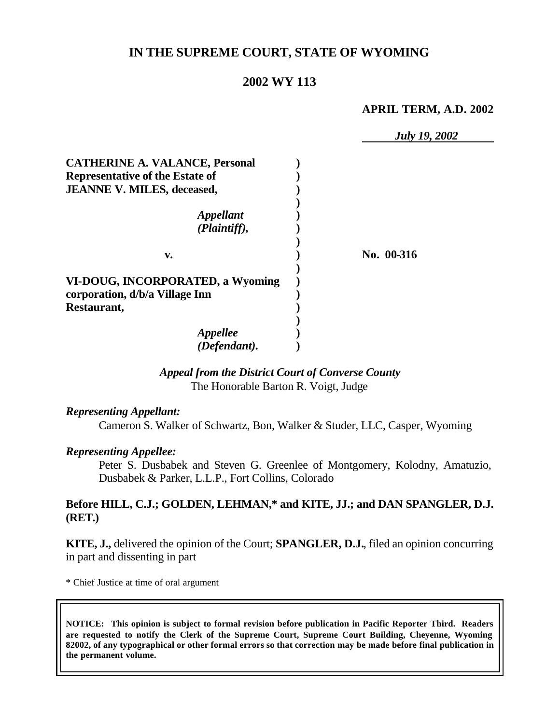## **IN THE SUPREME COURT, STATE OF WYOMING**

## **2002 WY 113**

**APRIL TERM, A.D. 2002**

*July 19, 2002* **CATHERINE A. VALANCE, Personal ) Representative of the Estate of ) JEANNE V. MILES, deceased, ) )** *Appellant* **)** *(Plaintiff),* **) ) v. ) No. 00-316 ) VI-DOUG, INCORPORATED, a Wyoming ) corporation, d/b/a Village Inn ) Restaurant, ) )** *Appellee* **)** *(Defendant).* **)**

### *Appeal from the District Court of Converse County* The Honorable Barton R. Voigt, Judge

#### *Representing Appellant:*

Cameron S. Walker of Schwartz, Bon, Walker & Studer, LLC, Casper, Wyoming

#### *Representing Appellee:*

Peter S. Dusbabek and Steven G. Greenlee of Montgomery, Kolodny, Amatuzio, Dusbabek & Parker, L.L.P., Fort Collins, Colorado

#### **Before HILL, C.J.; GOLDEN, LEHMAN,\* and KITE, JJ.; and DAN SPANGLER, D.J. (RET.)**

**KITE, J.,** delivered the opinion of the Court; **SPANGLER, D.J.**, filed an opinion concurring in part and dissenting in part

\* Chief Justice at time of oral argument

**NOTICE: This opinion is subject to formal revision before publication in Pacific Reporter Third. Readers are requested to notify the Clerk of the Supreme Court, Supreme Court Building, Cheyenne, Wyoming 82002, of any typographical or other formal errors so that correction may be made before final publication in the permanent volume.**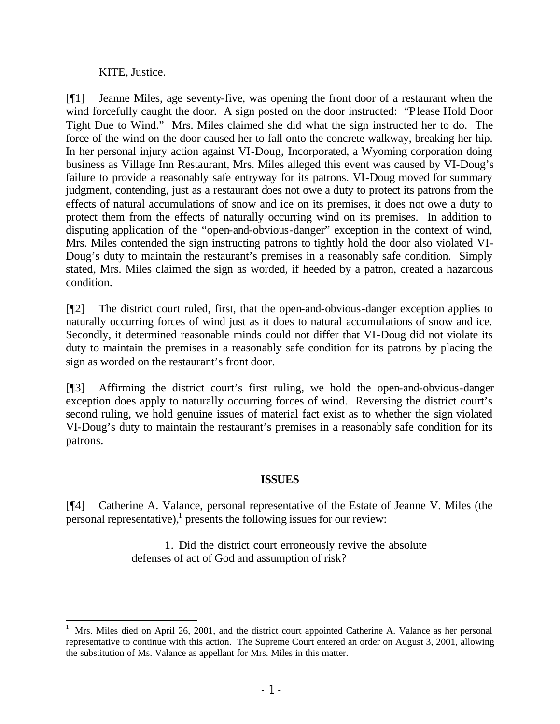KITE, Justice.

[¶1] Jeanne Miles, age seventy-five, was opening the front door of a restaurant when the wind forcefully caught the door. A sign posted on the door instructed: "Please Hold Door Tight Due to Wind." Mrs. Miles claimed she did what the sign instructed her to do. The force of the wind on the door caused her to fall onto the concrete walkway, breaking her hip. In her personal injury action against VI-Doug, Incorporated, a Wyoming corporation doing business as Village Inn Restaurant, Mrs. Miles alleged this event was caused by VI-Doug's failure to provide a reasonably safe entryway for its patrons. VI-Doug moved for summary judgment, contending, just as a restaurant does not owe a duty to protect its patrons from the effects of natural accumulations of snow and ice on its premises, it does not owe a duty to protect them from the effects of naturally occurring wind on its premises. In addition to disputing application of the "open-and-obvious-danger" exception in the context of wind, Mrs. Miles contended the sign instructing patrons to tightly hold the door also violated VI-Doug's duty to maintain the restaurant's premises in a reasonably safe condition. Simply stated, Mrs. Miles claimed the sign as worded, if heeded by a patron, created a hazardous condition.

[¶2] The district court ruled, first, that the open-and-obvious-danger exception applies to naturally occurring forces of wind just as it does to natural accumulations of snow and ice. Secondly, it determined reasonable minds could not differ that VI-Doug did not violate its duty to maintain the premises in a reasonably safe condition for its patrons by placing the sign as worded on the restaurant's front door.

[¶3] Affirming the district court's first ruling, we hold the open-and-obvious-danger exception does apply to naturally occurring forces of wind. Reversing the district court's second ruling, we hold genuine issues of material fact exist as to whether the sign violated VI-Doug's duty to maintain the restaurant's premises in a reasonably safe condition for its patrons.

# **ISSUES**

[¶4] Catherine A. Valance, personal representative of the Estate of Jeanne V. Miles (the personal representative),<sup>1</sup> presents the following issues for our review:

> 1. Did the district court erroneously revive the absolute defenses of act of God and assumption of risk?

<sup>1</sup> Mrs. Miles died on April 26, 2001, and the district court appointed Catherine A. Valance as her personal representative to continue with this action. The Supreme Court entered an order on August 3, 2001, allowing the substitution of Ms. Valance as appellant for Mrs. Miles in this matter.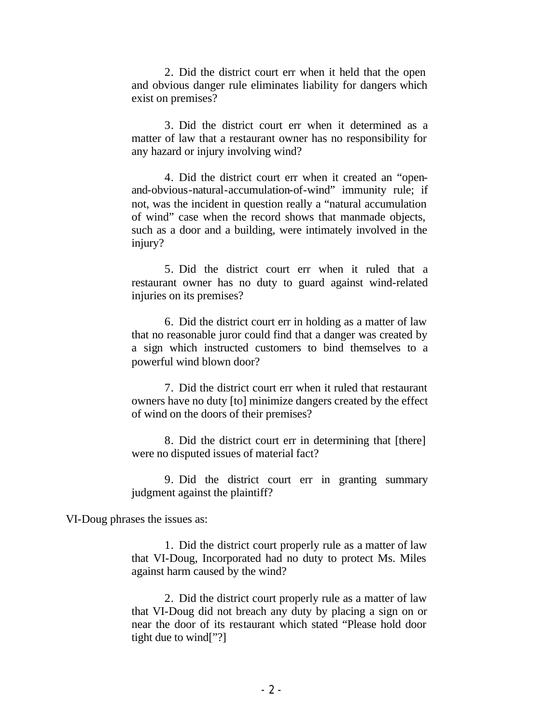2. Did the district court err when it held that the open and obvious danger rule eliminates liability for dangers which exist on premises?

3. Did the district court err when it determined as a matter of law that a restaurant owner has no responsibility for any hazard or injury involving wind?

4. Did the district court err when it created an "openand-obvious-natural-accumulation-of-wind" immunity rule; if not, was the incident in question really a "natural accumulation of wind" case when the record shows that manmade objects, such as a door and a building, were intimately involved in the injury?

5. Did the district court err when it ruled that a restaurant owner has no duty to guard against wind-related injuries on its premises?

6. Did the district court err in holding as a matter of law that no reasonable juror could find that a danger was created by a sign which instructed customers to bind themselves to a powerful wind blown door?

7. Did the district court err when it ruled that restaurant owners have no duty [to] minimize dangers created by the effect of wind on the doors of their premises?

8. Did the district court err in determining that [there] were no disputed issues of material fact?

9. Did the district court err in granting summary judgment against the plaintiff?

VI-Doug phrases the issues as:

1. Did the district court properly rule as a matter of law that VI-Doug, Incorporated had no duty to protect Ms. Miles against harm caused by the wind?

2. Did the district court properly rule as a matter of law that VI-Doug did not breach any duty by placing a sign on or near the door of its restaurant which stated "Please hold door tight due to wind["?]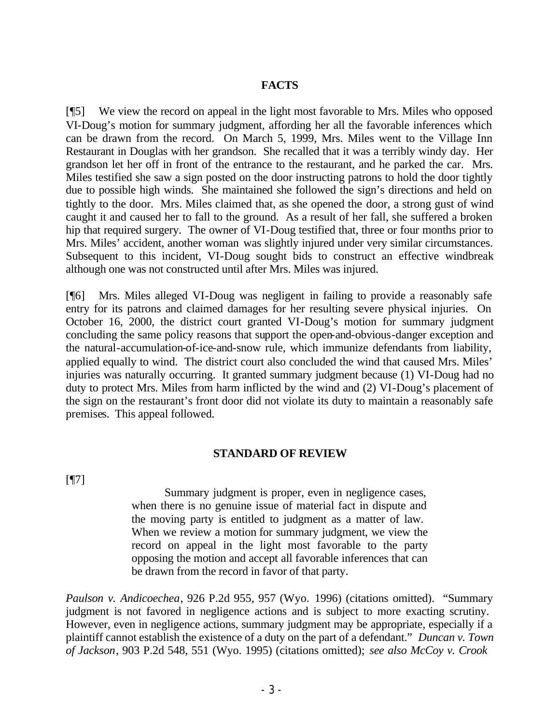## **FACTS**

[¶5] We view the record on appeal in the light most favorable to Mrs. Miles who opposed VI-Doug's motion for summary judgment, affording her all the favorable inferences which can be drawn from the record. On March 5, 1999, Mrs. Miles went to the Village Inn Restaurant in Douglas with her grandson. She recalled that it was a terribly windy day. Her grandson let her off in front of the entrance to the restaurant, and he parked the car. Mrs. Miles testified she saw a sign posted on the door instructing patrons to hold the door tightly due to possible high winds. She maintained she followed the sign's directions and held on tightly to the door. Mrs. Miles claimed that, as she opened the door, a strong gust of wind caught it and caused her to fall to the ground. As a result of her fall, she suffered a broken hip that required surgery. The owner of VI-Doug testified that, three or four months prior to Mrs. Miles' accident, another woman was slightly injured under very similar circumstances. Subsequent to this incident, VI-Doug sought bids to construct an effective windbreak although one was not constructed until after Mrs. Miles was injured.

[¶6] Mrs. Miles alleged VI-Doug was negligent in failing to provide a reasonably safe entry for its patrons and claimed damages for her resulting severe physical injuries. On October 16, 2000, the district court granted VI-Doug's motion for summary judgment concluding the same policy reasons that support the open-and-obvious-danger exception and the natural-accumulation-of-ice-and-snow rule, which immunize defendants from liability, applied equally to wind. The district court also concluded the wind that caused Mrs. Miles' injuries was naturally occurring. It granted summary judgment because (1) VI-Doug had no duty to protect Mrs. Miles from harm inflicted by the wind and (2) VI-Doug's placement of the sign on the restaurant's front door did not violate its duty to maintain a reasonably safe premises. This appeal followed.

### **STANDARD OF REVIEW**

[¶7]

Summary judgment is proper, even in negligence cases, when there is no genuine issue of material fact in dispute and the moving party is entitled to judgment as a matter of law. When we review a motion for summary judgment, we view the record on appeal in the light most favorable to the party opposing the motion and accept all favorable inferences that can be drawn from the record in favor of that party.

*Paulson v. Andicoechea*, 926 P.2d 955, 957 (Wyo. 1996) (citations omitted). "Summary judgment is not favored in negligence actions and is subject to more exacting scrutiny. However, even in negligence actions, summary judgment may be appropriate, especially if a plaintiff cannot establish the existence of a duty on the part of a defendant." *Duncan v. Town of Jackson*, 903 P.2d 548, 551 (Wyo. 1995) (citations omitted); *see also McCoy v. Crook*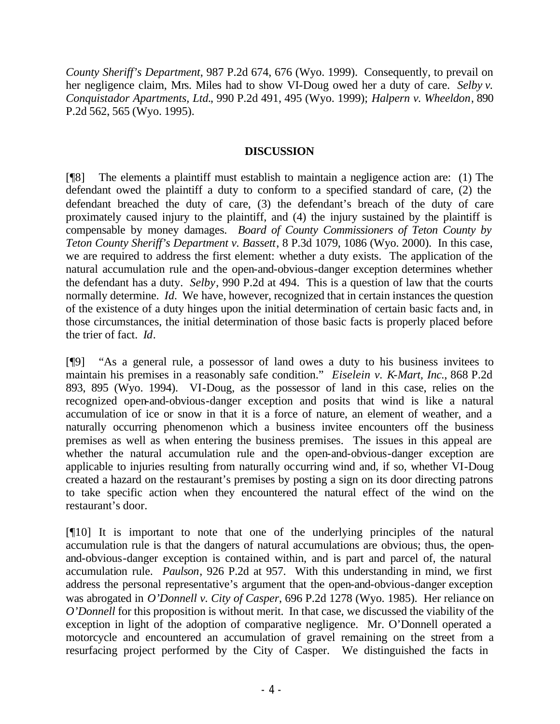*County Sheriff's Department*, 987 P.2d 674, 676 (Wyo. 1999). Consequently, to prevail on her negligence claim, Mrs. Miles had to show VI-Doug owed her a duty of care. *Selby v. Conquistador Apartments, Ltd.*, 990 P.2d 491, 495 (Wyo. 1999); *Halpern v. Wheeldon*, 890 P.2d 562, 565 (Wyo. 1995).

### **DISCUSSION**

[¶8] The elements a plaintiff must establish to maintain a negligence action are: (1) The defendant owed the plaintiff a duty to conform to a specified standard of care, (2) the defendant breached the duty of care, (3) the defendant's breach of the duty of care proximately caused injury to the plaintiff, and (4) the injury sustained by the plaintiff is compensable by money damages. *Board of County Commissioners of Teton County by Teton County Sheriff's Department v. Bassett*, 8 P.3d 1079, 1086 (Wyo. 2000). In this case, we are required to address the first element: whether a duty exists. The application of the natural accumulation rule and the open-and-obvious-danger exception determines whether the defendant has a duty. *Selby*, 990 P.2d at 494. This is a question of law that the courts normally determine. *Id.* We have, however, recognized that in certain instances the question of the existence of a duty hinges upon the initial determination of certain basic facts and, in those circumstances, the initial determination of those basic facts is properly placed before the trier of fact. *Id*.

[¶9] "As a general rule, a possessor of land owes a duty to his business invitees to maintain his premises in a reasonably safe condition." *Eiselein v. K-Mart, Inc.*, 868 P.2d 893, 895 (Wyo. 1994). VI-Doug, as the possessor of land in this case, relies on the recognized open-and-obvious-danger exception and posits that wind is like a natural accumulation of ice or snow in that it is a force of nature, an element of weather, and a naturally occurring phenomenon which a business invitee encounters off the business premises as well as when entering the business premises. The issues in this appeal are whether the natural accumulation rule and the open-and-obvious-danger exception are applicable to injuries resulting from naturally occurring wind and, if so, whether VI-Doug created a hazard on the restaurant's premises by posting a sign on its door directing patrons to take specific action when they encountered the natural effect of the wind on the restaurant's door.

[¶10] It is important to note that one of the underlying principles of the natural accumulation rule is that the dangers of natural accumulations are obvious; thus, the openand-obvious-danger exception is contained within, and is part and parcel of, the natural accumulation rule. *Paulson*, 926 P.2d at 957. With this understanding in mind, we first address the personal representative's argument that the open-and-obvious-danger exception was abrogated in *O'Donnell v. City of Casper*, 696 P.2d 1278 (Wyo. 1985). Her reliance on *O'Donnell* for this proposition is without merit. In that case, we discussed the viability of the exception in light of the adoption of comparative negligence. Mr. O'Donnell operated a motorcycle and encountered an accumulation of gravel remaining on the street from a resurfacing project performed by the City of Casper. We distinguished the facts in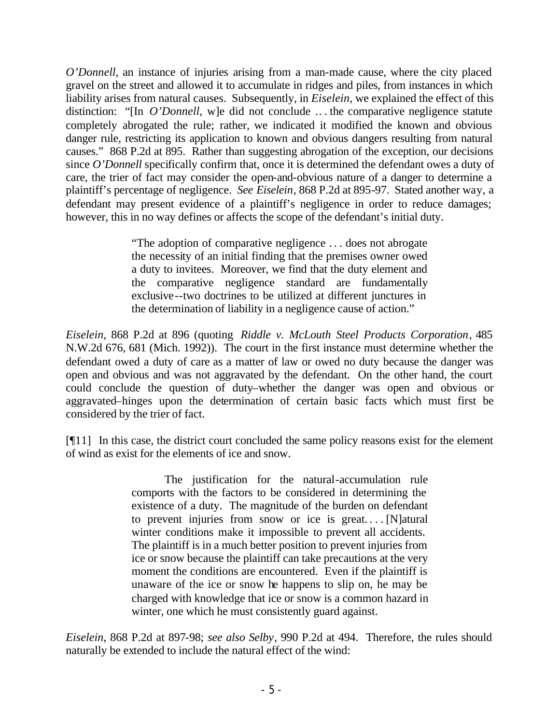*O'Donnell,* an instance of injuries arising from a man-made cause, where the city placed gravel on the street and allowed it to accumulate in ridges and piles, from instances in which liability arises from natural causes. Subsequently, in *Eiselein*, we explained the effect of this distinction: "[In *O'Donnell*, w]e did not conclude ... the comparative negligence statute completely abrogated the rule; rather, we indicated it modified the known and obvious danger rule, restricting its application to known and obvious dangers resulting from natural causes." 868 P.2d at 895. Rather than suggesting abrogation of the exception, our decisions since *O'Donnell* specifically confirm that, once it is determined the defendant owes a duty of care, the trier of fact may consider the open-and-obvious nature of a danger to determine a plaintiff's percentage of negligence. *See Eiselein*, 868 P.2d at 895-97. Stated another way, a defendant may present evidence of a plaintiff's negligence in order to reduce damages; however, this in no way defines or affects the scope of the defendant's initial duty.

> "The adoption of comparative negligence . . . does not abrogate the necessity of an initial finding that the premises owner owed a duty to invitees. Moreover, we find that the duty element and the comparative negligence standard are fundamentally exclusive--two doctrines to be utilized at different junctures in the determination of liability in a negligence cause of action."

*Eiselein*, 868 P.2d at 896 (quoting *Riddle v. McLouth Steel Products Corporation*, 485 N.W.2d 676, 681 (Mich. 1992)). The court in the first instance must determine whether the defendant owed a duty of care as a matter of law or owed no duty because the danger was open and obvious and was not aggravated by the defendant. On the other hand, the court could conclude the question of duty–whether the danger was open and obvious or aggravated–hinges upon the determination of certain basic facts which must first be considered by the trier of fact.

[¶11] In this case, the district court concluded the same policy reasons exist for the element of wind as exist for the elements of ice and snow.

> The justification for the natural-accumulation rule comports with the factors to be considered in determining the existence of a duty. The magnitude of the burden on defendant to prevent injuries from snow or ice is great.... [N]atural winter conditions make it impossible to prevent all accidents. The plaintiff is in a much better position to prevent injuries from ice or snow because the plaintiff can take precautions at the very moment the conditions are encountered. Even if the plaintiff is unaware of the ice or snow he happens to slip on, he may be charged with knowledge that ice or snow is a common hazard in winter, one which he must consistently guard against.

*Eiselein*, 868 P.2d at 897-98; *see also Selby*, 990 P.2d at 494. Therefore, the rules should naturally be extended to include the natural effect of the wind: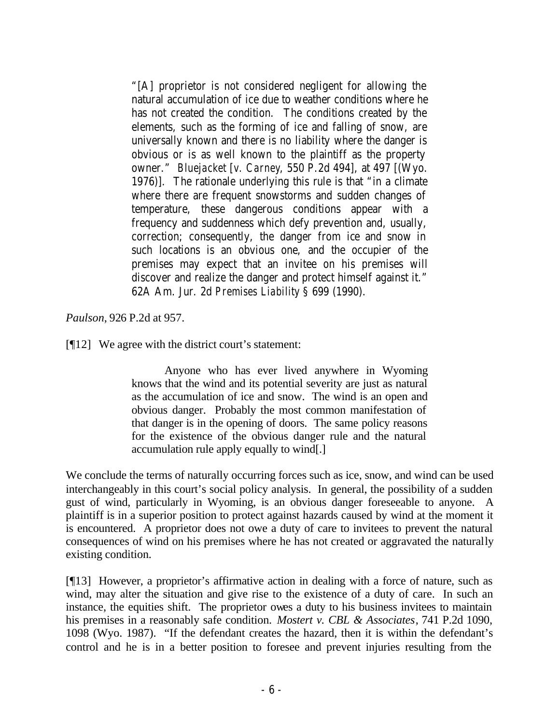"[A] proprietor is not considered negligent for allowing the natural accumulation of ice due to weather conditions where he has not created the condition. The conditions created by the elements, such as the forming of ice and falling of snow, are universally known and there is no liability where the danger is obvious or is as well known to the plaintiff as the property owner." *Bluejacket* [*v. Carney*, 550 P.2d 494], at 497 [(Wyo. 1976)]. The rationale underlying this rule is that "in a climate where there are frequent snowstorms and sudden changes of temperature, these dangerous conditions appear with a frequency and suddenness which defy prevention and, usually, correction; consequently, the danger from ice and snow in such locations is an obvious one, and the occupier of the premises may expect that an invitee on his premises will discover and realize the danger and protect himself against it." 62A Am. Jur. 2d *Premises Liability* § 699 (1990).

*Paulson*, 926 P.2d at 957.

[¶12] We agree with the district court's statement:

Anyone who has ever lived anywhere in Wyoming knows that the wind and its potential severity are just as natural as the accumulation of ice and snow. The wind is an open and obvious danger. Probably the most common manifestation of that danger is in the opening of doors. The same policy reasons for the existence of the obvious danger rule and the natural accumulation rule apply equally to wind[.]

We conclude the terms of naturally occurring forces such as ice, snow, and wind can be used interchangeably in this court's social policy analysis. In general, the possibility of a sudden gust of wind, particularly in Wyoming, is an obvious danger foreseeable to anyone. A plaintiff is in a superior position to protect against hazards caused by wind at the moment it is encountered. A proprietor does not owe a duty of care to invitees to prevent the natural consequences of wind on his premises where he has not created or aggravated the naturally existing condition.

[¶13] However, a proprietor's affirmative action in dealing with a force of nature, such as wind, may alter the situation and give rise to the existence of a duty of care. In such an instance, the equities shift. The proprietor owes a duty to his business invitees to maintain his premises in a reasonably safe condition. *Mostert v. CBL & Associates*, 741 P.2d 1090, 1098 (Wyo. 1987). "If the defendant creates the hazard, then it is within the defendant's control and he is in a better position to foresee and prevent injuries resulting from the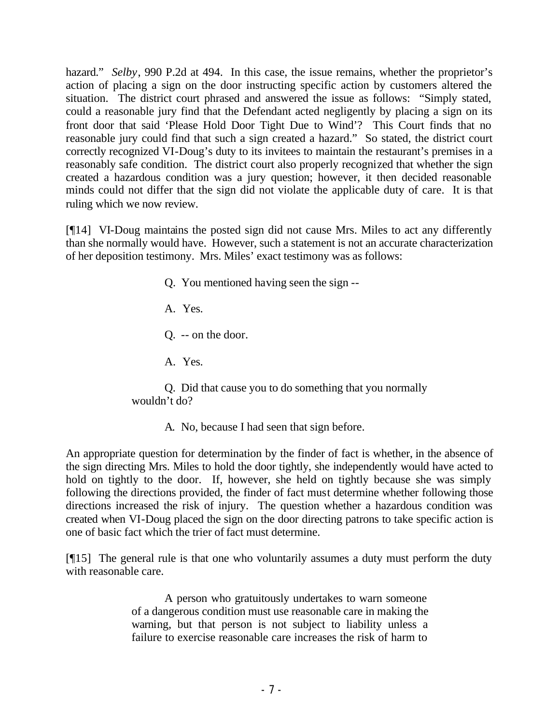hazard." *Selby*, 990 P.2d at 494. In this case, the issue remains, whether the proprietor's action of placing a sign on the door instructing specific action by customers altered the situation. The district court phrased and answered the issue as follows: "Simply stated, could a reasonable jury find that the Defendant acted negligently by placing a sign on its front door that said 'Please Hold Door Tight Due to Wind'? This Court finds that no reasonable jury could find that such a sign created a hazard." So stated, the district court correctly recognized VI-Doug's duty to its invitees to maintain the restaurant's premises in a reasonably safe condition. The district court also properly recognized that whether the sign created a hazardous condition was a jury question; however, it then decided reasonable minds could not differ that the sign did not violate the applicable duty of care. It is that ruling which we now review.

[¶14] VI-Doug maintains the posted sign did not cause Mrs. Miles to act any differently than she normally would have. However, such a statement is not an accurate characterization of her deposition testimony. Mrs. Miles' exact testimony was as follows:

> Q. You mentioned having seen the sign -- A. Yes. Q. -- on the door. A. Yes. Q. Did that cause you to do something that you normally wouldn't do?

> > A. No, because I had seen that sign before.

An appropriate question for determination by the finder of fact is whether, in the absence of the sign directing Mrs. Miles to hold the door tightly, she independently would have acted to hold on tightly to the door. If, however, she held on tightly because she was simply following the directions provided, the finder of fact must determine whether following those directions increased the risk of injury. The question whether a hazardous condition was created when VI-Doug placed the sign on the door directing patrons to take specific action is one of basic fact which the trier of fact must determine.

[¶15] The general rule is that one who voluntarily assumes a duty must perform the duty with reasonable care.

> A person who gratuitously undertakes to warn someone of a dangerous condition must use reasonable care in making the warning, but that person is not subject to liability unless a failure to exercise reasonable care increases the risk of harm to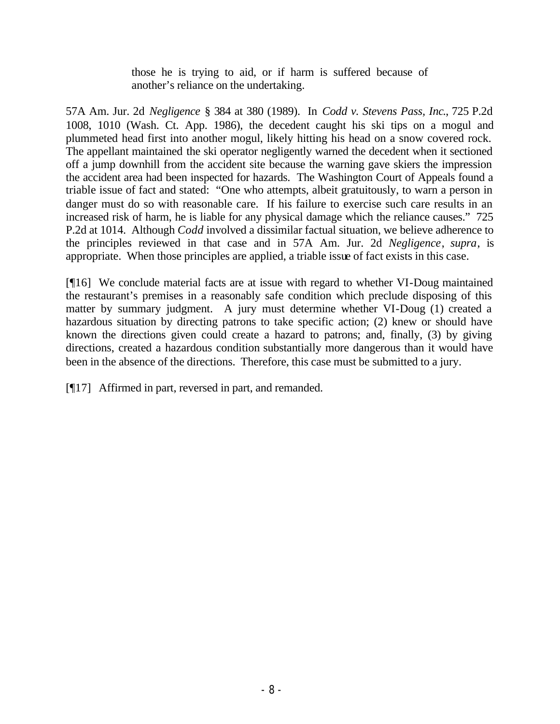those he is trying to aid, or if harm is suffered because of another's reliance on the undertaking.

57A Am. Jur. 2d *Negligence* § 384 at 380 (1989). In *Codd v. Stevens Pass, Inc*., 725 P.2d 1008, 1010 (Wash. Ct. App. 1986), the decedent caught his ski tips on a mogul and plummeted head first into another mogul, likely hitting his head on a snow covered rock. The appellant maintained the ski operator negligently warned the decedent when it sectioned off a jump downhill from the accident site because the warning gave skiers the impression the accident area had been inspected for hazards. The Washington Court of Appeals found a triable issue of fact and stated: "One who attempts, albeit gratuitously, to warn a person in danger must do so with reasonable care. If his failure to exercise such care results in an increased risk of harm, he is liable for any physical damage which the reliance causes." 725 P.2d at 1014. Although *Codd* involved a dissimilar factual situation, we believe adherence to the principles reviewed in that case and in 57A Am. Jur. 2d *Negligence*, *supra*, is appropriate. When those principles are applied, a triable issue of fact exists in this case.

[¶16] We conclude material facts are at issue with regard to whether VI-Doug maintained the restaurant's premises in a reasonably safe condition which preclude disposing of this matter by summary judgment. A jury must determine whether VI-Doug (1) created a hazardous situation by directing patrons to take specific action; (2) knew or should have known the directions given could create a hazard to patrons; and, finally, (3) by giving directions, created a hazardous condition substantially more dangerous than it would have been in the absence of the directions. Therefore, this case must be submitted to a jury.

[¶17] Affirmed in part, reversed in part, and remanded.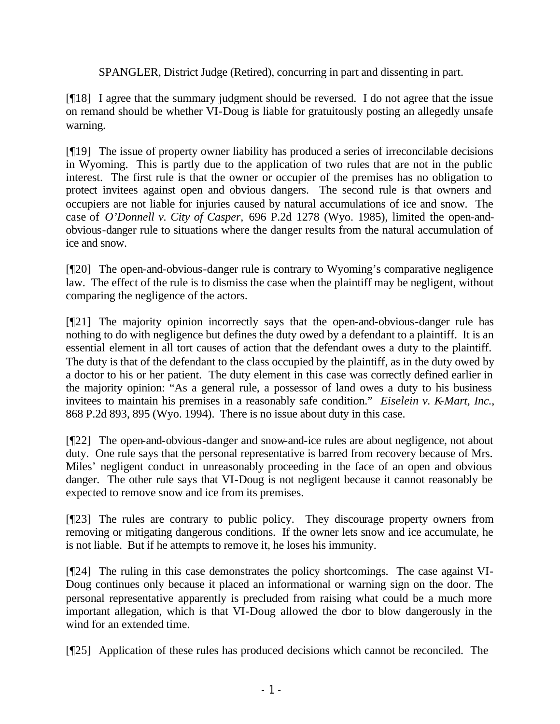SPANGLER, District Judge (Retired), concurring in part and dissenting in part.

[¶18] I agree that the summary judgment should be reversed. I do not agree that the issue on remand should be whether VI-Doug is liable for gratuitously posting an allegedly unsafe warning.

[¶19] The issue of property owner liability has produced a series of irreconcilable decisions in Wyoming. This is partly due to the application of two rules that are not in the public interest. The first rule is that the owner or occupier of the premises has no obligation to protect invitees against open and obvious dangers. The second rule is that owners and occupiers are not liable for injuries caused by natural accumulations of ice and snow. The case of *O'Donnell v. City of Casper,* 696 P.2d 1278 (Wyo. 1985), limited the open-andobvious-danger rule to situations where the danger results from the natural accumulation of ice and snow.

[¶20] The open-and-obvious-danger rule is contrary to Wyoming's comparative negligence law. The effect of the rule is to dismiss the case when the plaintiff may be negligent, without comparing the negligence of the actors.

[¶21] The majority opinion incorrectly says that the open-and-obvious-danger rule has nothing to do with negligence but defines the duty owed by a defendant to a plaintiff. It is an essential element in all tort causes of action that the defendant owes a duty to the plaintiff. The duty is that of the defendant to the class occupied by the plaintiff, as in the duty owed by a doctor to his or her patient. The duty element in this case was correctly defined earlier in the majority opinion: "As a general rule, a possessor of land owes a duty to his business invitees to maintain his premises in a reasonably safe condition." *Eiselein v. K-Mart, Inc.*, 868 P.2d 893, 895 (Wyo. 1994). There is no issue about duty in this case.

[¶22] The open-and-obvious-danger and snow-and-ice rules are about negligence, not about duty. One rule says that the personal representative is barred from recovery because of Mrs. Miles' negligent conduct in unreasonably proceeding in the face of an open and obvious danger. The other rule says that VI-Doug is not negligent because it cannot reasonably be expected to remove snow and ice from its premises.

[¶23] The rules are contrary to public policy. They discourage property owners from removing or mitigating dangerous conditions. If the owner lets snow and ice accumulate, he is not liable. But if he attempts to remove it, he loses his immunity.

[¶24] The ruling in this case demonstrates the policy shortcomings. The case against VI-Doug continues only because it placed an informational or warning sign on the door. The personal representative apparently is precluded from raising what could be a much more important allegation, which is that VI-Doug allowed the door to blow dangerously in the wind for an extended time.

[¶25] Application of these rules has produced decisions which cannot be reconciled. The